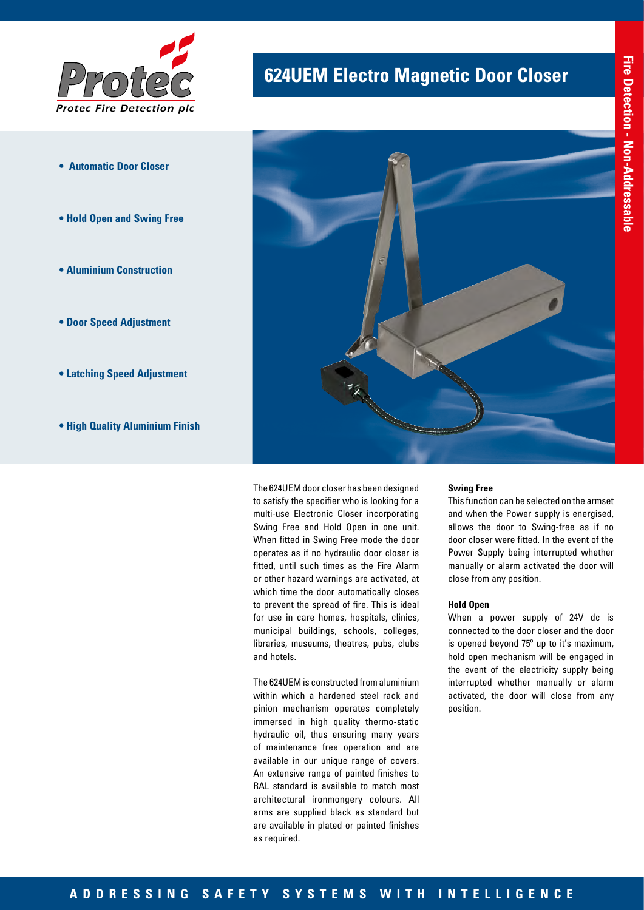

- **Automatic Door Closer**
- **Hold Open and Swing Free**
- **Aluminium Construction**
- **Door Speed Adjustment**
- **Latching Speed Adjustment**
- **High Quality Aluminium Finish**

## **624UEM Electro Magnetic Door Closer**



The 624UEM door closer has been designed to satisfy the specifier who is looking for a multi-use Electronic Closer incorporating Swing Free and Hold Open in one unit. When fitted in Swing Free mode the door operates as if no hydraulic door closer is fitted, until such times as the Fire Alarm or other hazard warnings are activated, at which time the door automatically closes to prevent the spread of fire. This is ideal for use in care homes, hospitals, clinics, municipal buildings, schools, colleges, libraries, museums, theatres, pubs, clubs and hotels.

The 624UEM is constructed from aluminium within which a hardened steel rack and pinion mechanism operates completely immersed in high quality thermo-static hydraulic oil, thus ensuring many years of maintenance free operation and are available in our unique range of covers. An extensive range of painted finishes to RAL standard is available to match most architectural ironmongery colours. All arms are supplied black as standard but are available in plated or painted finishes as required.

#### **Swing Free**

This function can be selected on the armset and when the Power supply is energised, allows the door to Swing-free as if no door closer were fitted. In the event of the Power Supply being interrupted whether manually or alarm activated the door will close from any position.

#### **Hold Open**

When a power supply of 24V dc is connected to the door closer and the door is opened beyond 75º up to it's maximum, hold open mechanism will be engaged in the event of the electricity supply being interrupted whether manually or alarm activated, the door will close from any position.